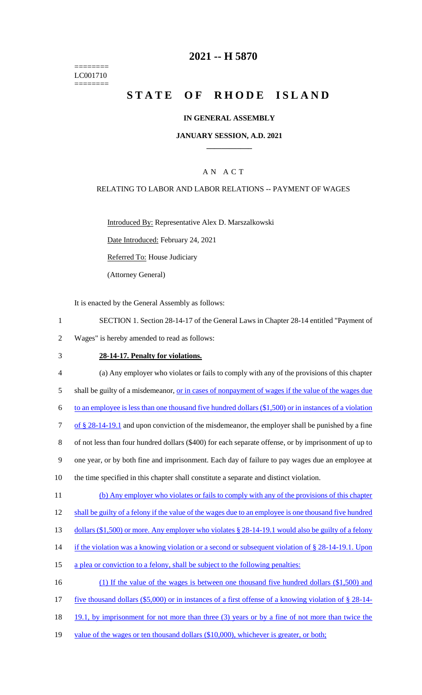======== LC001710  $=$ 

# **2021 -- H 5870**

# **STATE OF RHODE ISLAND**

### **IN GENERAL ASSEMBLY**

#### **JANUARY SESSION, A.D. 2021 \_\_\_\_\_\_\_\_\_\_\_\_**

### A N A C T

#### RELATING TO LABOR AND LABOR RELATIONS -- PAYMENT OF WAGES

Introduced By: Representative Alex D. Marszalkowski

Date Introduced: February 24, 2021

Referred To: House Judiciary

(Attorney General)

It is enacted by the General Assembly as follows:

- 1 SECTION 1. Section 28-14-17 of the General Laws in Chapter 28-14 entitled "Payment of
- 2 Wages" is hereby amended to read as follows:

# 3 **28-14-17. Penalty for violations.**

| $\overline{4}$ | (a) Any employer who violates or fails to comply with any of the provisions of this chapter               |
|----------------|-----------------------------------------------------------------------------------------------------------|
| 5              | shall be guilty of a misdemeanor, <u>or in cases of nonpayment of wages if the value of the wages due</u> |
| 6              | to an employee is less than one thousand five hundred dollars $(\$1,500)$ or in instances of a violation  |
| $\overline{7}$ | of $\S 28-14-19.1$ and upon conviction of the misdemeanor, the employer shall be punished by a fine       |
| 8              | of not less than four hundred dollars (\$400) for each separate offense, or by imprisonment of up to      |
| 9              | one year, or by both fine and imprisonment. Each day of failure to pay wages due an employee at           |
| 10             | the time specified in this chapter shall constitute a separate and distinct violation.                    |
| 11             | (b) Any employer who violates or fails to comply with any of the provisions of this chapter               |
| 12             | shall be guilty of a felony if the value of the wages due to an employee is one thousand five hundred     |
| 13             | dollars (\$1,500) or more. Any employer who violates § 28-14-19.1 would also be guilty of a felony        |
| 14             | if the violation was a knowing violation or a second or subsequent violation of $\S 28-14-19.1$ . Upon    |
| 15             | a plea or conviction to a felony, shall be subject to the following penalties:                            |
| 16             | (1) If the value of the wages is between one thousand five hundred dollars (\$1,500) and                  |
| 17             | five thousand dollars $(\$5,000)$ or in instances of a first offense of a knowing violation of $§$ 28-14- |
| 18             | 19.1, by imprisonment for not more than three (3) years or by a fine of not more than twice the           |
|                |                                                                                                           |

19 value of the wages or ten thousand dollars (\$10,000), whichever is greater, or both;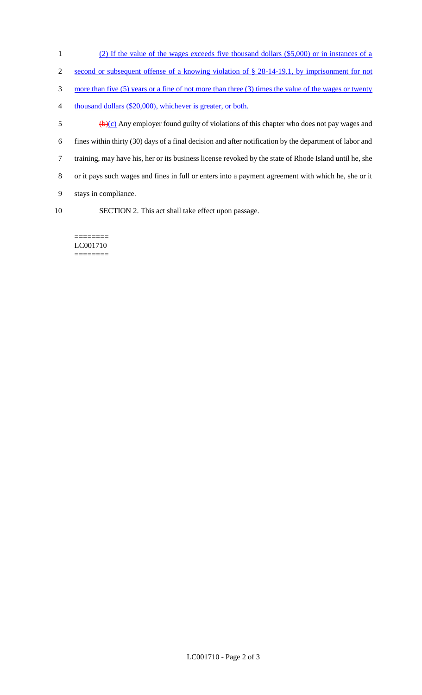- (2) If the value of the wages exceeds five thousand dollars (\$5,000) or in instances of a
- second or subsequent offense of a knowing violation of § 28-14-19.1, by imprisonment for not
- more than five (5) years or a fine of not more than three (3) times the value of the wages or twenty
- thousand dollars (\$20,000), whichever is greater, or both.
- $\frac{1}{2}$  (b)(c) Any employer found guilty of violations of this chapter who does not pay wages and fines within thirty (30) days of a final decision and after notification by the department of labor and training, may have his, her or its business license revoked by the state of Rhode Island until he, she or it pays such wages and fines in full or enters into a payment agreement with which he, she or it stays in compliance. SECTION 2. This act shall take effect upon passage.
	- ======== LC001710 ========